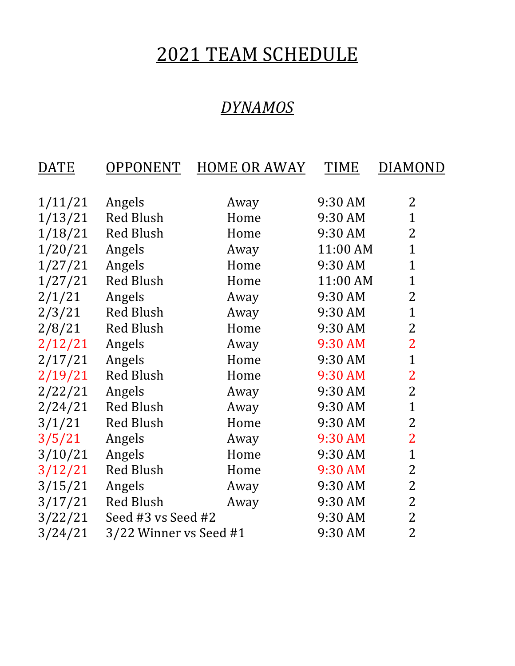## 2021 TEAM SCHEDULE

#### *DYNAMOS*

| <b>DATE</b> | OPPONENT               | <b>HOME OR AWAY</b> | TIME     | <b>DIAMOND</b> |
|-------------|------------------------|---------------------|----------|----------------|
|             |                        |                     |          |                |
| 1/11/21     | Angels                 | Away                | 9:30 AM  | 2              |
| 1/13/21     | <b>Red Blush</b>       | Home                | 9:30 AM  | $\mathbf{1}$   |
| 1/18/21     | <b>Red Blush</b>       | Home                | 9:30 AM  | 2              |
| 1/20/21     | Angels                 | Away                | 11:00 AM | $\overline{1}$ |
| 1/27/21     | Angels                 | Home                | 9:30 AM  | $\mathbf{1}$   |
| 1/27/21     | <b>Red Blush</b>       | Home                | 11:00 AM | $\mathbf{1}$   |
| 2/1/21      | Angels                 | Away                | 9:30 AM  | $\overline{2}$ |
| 2/3/21      | <b>Red Blush</b>       | Away                | 9:30 AM  | $\overline{1}$ |
| 2/8/21      | <b>Red Blush</b>       | Home                | 9:30 AM  | $\overline{2}$ |
| 2/12/21     | Angels                 | Away                | 9:30 AM  | $\overline{2}$ |
| 2/17/21     | Angels                 | Home                | 9:30 AM  | $\overline{1}$ |
| 2/19/21     | <b>Red Blush</b>       | Home                | 9:30 AM  | $\overline{2}$ |
| 2/22/21     | Angels                 | Away                | 9:30 AM  | $\overline{2}$ |
| 2/24/21     | <b>Red Blush</b>       | Away                | 9:30 AM  | $\overline{1}$ |
| 3/1/21      | <b>Red Blush</b>       | Home                | 9:30 AM  | $\overline{2}$ |
| 3/5/21      | Angels                 | Away                | 9:30 AM  | $\overline{2}$ |
| 3/10/21     | Angels                 | Home                | 9:30 AM  | $\overline{1}$ |
| 3/12/21     | <b>Red Blush</b>       | Home                | 9:30 AM  | $\overline{2}$ |
| 3/15/21     | Angels                 | Away                | 9:30 AM  | $\overline{2}$ |
| 3/17/21     | <b>Red Blush</b>       | Away                | 9:30 AM  | $\overline{2}$ |
| 3/22/21     | Seed #3 vs Seed #2     |                     | 9:30 AM  | $\overline{2}$ |
| 3/24/21     | 3/22 Winner vs Seed #1 |                     | 9:30 AM  | $\overline{2}$ |
|             |                        |                     |          |                |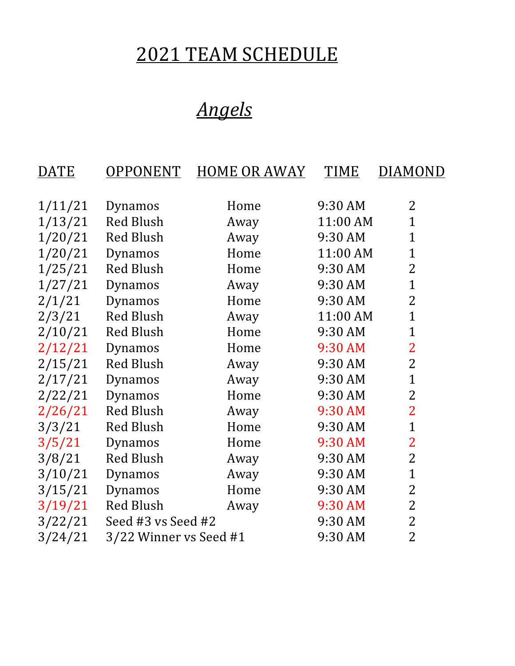# 2021 TEAM SCHEDULE

# *Angels*

| <u>DATE</u> | <b>OPPONENT</b>        | <b>HOME OR AWAY</b> | <b>TIME</b> | <u>DIAMOND</u> |
|-------------|------------------------|---------------------|-------------|----------------|
|             |                        |                     |             |                |
| 1/11/21     | Dynamos                | Home                | 9:30 AM     | $\overline{2}$ |
| 1/13/21     | <b>Red Blush</b>       | Away                | 11:00 AM    | $\mathbf{1}$   |
| 1/20/21     | <b>Red Blush</b>       | Away                | 9:30 AM     | $\mathbf{1}$   |
| 1/20/21     | Dynamos                | Home                | 11:00 AM    | $\mathbf{1}$   |
| 1/25/21     | <b>Red Blush</b>       | Home                | 9:30 AM     | $\overline{2}$ |
| 1/27/21     | Dynamos                | Away                | 9:30 AM     | $\overline{1}$ |
| 2/1/21      | Dynamos                | Home                | 9:30 AM     | $\overline{2}$ |
| 2/3/21      | <b>Red Blush</b>       | Away                | 11:00 AM    | $\overline{1}$ |
| 2/10/21     | <b>Red Blush</b>       | Home                | 9:30 AM     | $\mathbf{1}$   |
| 2/12/21     | Dynamos                | Home                | 9:30 AM     | $\overline{2}$ |
| 2/15/21     | <b>Red Blush</b>       | Away                | 9:30 AM     | $\overline{2}$ |
| 2/17/21     | Dynamos                | Away                | 9:30 AM     | $\overline{1}$ |
| 2/22/21     | Dynamos                | Home                | 9:30 AM     | $\overline{2}$ |
| 2/26/21     | <b>Red Blush</b>       | Away                | 9:30 AM     | $\overline{2}$ |
| 3/3/21      | <b>Red Blush</b>       | Home                | 9:30 AM     | $\mathbf{1}$   |
| 3/5/21      | Dynamos                | Home                | 9:30 AM     | $\overline{2}$ |
| 3/8/21      | <b>Red Blush</b>       | Away                | 9:30 AM     | $\overline{2}$ |
| 3/10/21     | Dynamos                | Away                | 9:30 AM     | $\overline{1}$ |
| 3/15/21     | Dynamos                | Home                | 9:30 AM     | $\overline{2}$ |
| 3/19/21     | <b>Red Blush</b>       | Away                | 9:30 AM     | 2              |
| 3/22/21     | Seed #3 vs Seed #2     |                     | 9:30 AM     | $\overline{2}$ |
| 3/24/21     | 3/22 Winner vs Seed #1 |                     | 9:30 AM     | $\overline{2}$ |